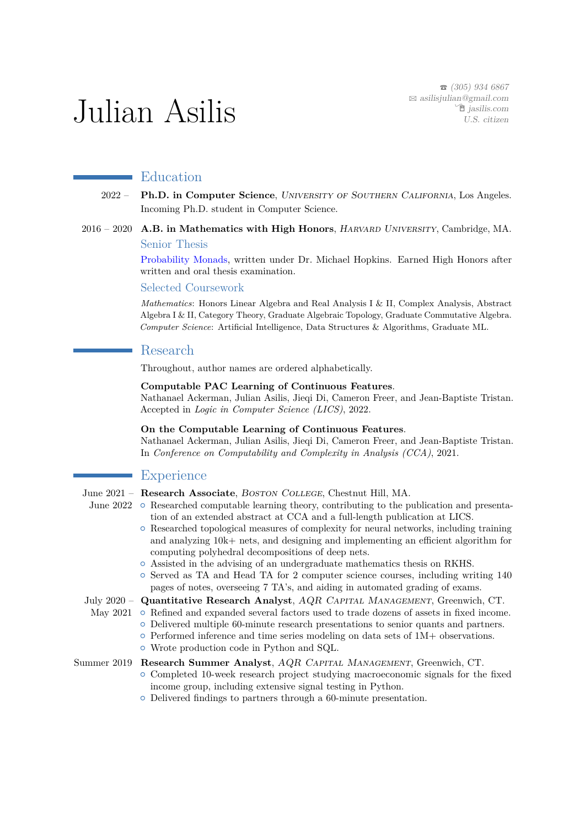$\bullet$  (305) 934 6867  $\boxtimes$  [asilisjulian@gmail.com](mailto:asilisjulian@gmail.com)  $\hat{z}$  [jasilis.com](http://jasilis.com) U.S. citizen

# Julian Asilis

# Education

- 2022 **Ph.D. in Computer Science**, University of Southern California, Los Angeles. Incoming Ph.D. student in Computer Science.
- 2016 2020 **A.B. in Mathematics with High Honors**, Harvard University, Cambridge, MA. Senior Thesis

[Probability Monads,](https://www.math.harvard.edu/media/JulianAsilisThesis.pdf) written under Dr. Michael Hopkins. Earned High Honors after written and oral thesis examination.

#### Selected Coursework

*Mathematics*: Honors Linear Algebra and Real Analysis I & II, Complex Analysis, Abstract Algebra I & II, Category Theory, Graduate Algebraic Topology, Graduate Commutative Algebra. *Computer Science*: Artificial Intelligence, Data Structures & Algorithms, Graduate ML.

#### Research

Throughout, author names are ordered alphabetically.

#### **Computable PAC Learning of Continuous Features**.

Nathanael Ackerman, Julian Asilis, Jieqi Di, Cameron Freer, and Jean-Baptiste Tristan. Accepted in *Logic in Computer Science (LICS)*, 2022.

#### **On the Computable Learning of Continuous Features**.

Nathanael Ackerman, Julian Asilis, Jieqi Di, Cameron Freer, and Jean-Baptiste Tristan. In *Conference on Computability and Complexity in Analysis (CCA)*, 2021.

# **Experience**

- June 2021 Research Associate, Boston College, Chestnut Hill, MA.
	- June 2022 Researched computable learning theory, contributing to the publication and presenta
		- tion of an extended abstract at CCA and a full-length publication at LICS.
		- $\circ$  Researched topological measures of complexity for neural networks, including training and analyzing 10k+ nets, and designing and implementing an efficient algorithm for computing polyhedral decompositions of deep nets.
		- $\circ$  Assisted in the advising of an undergraduate mathematics thesis on RKHS.
		- { Served as TA and Head TA for 2 computer science courses, including writing 140 pages of notes, overseeing 7 TA's, and aiding in automated grading of exams.

July 2020 - Quantitative Research Analyst, AQR CAPITAL MANAGEMENT, Greenwich, CT.

- May 2021 o Refined and expanded several factors used to trade dozens of assets in fixed income. { Delivered multiple 60-minute research presentations to senior quants and partners.
	- $\circ$  Performed inference and time series modeling on data sets of 1M+ observations.
	- { Wrote production code in Python and SQL.

#### Summer 2019 **Research Summer Analyst**, AQR Capital Management, Greenwich, CT.

- $\circ$  Completed 10-week research project studying macroeconomic signals for the fixed income group, including extensive signal testing in Python.
- $\circ$  Delivered findings to partners through a 60-minute presentation.